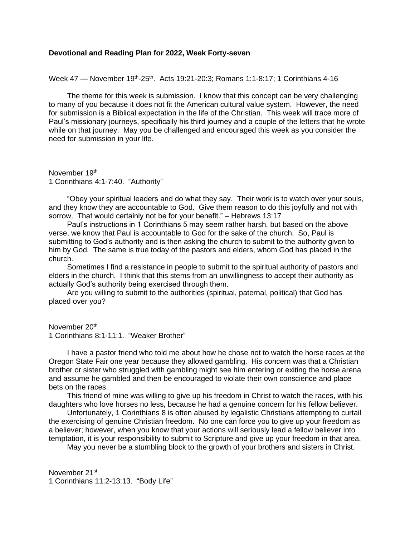## **Devotional and Reading Plan for 2022, Week Forty-seven**

Week 47 — November 19<sup>th</sup>-25<sup>th</sup>. Acts 19:21-20:3; Romans 1:1-8:17; 1 Corinthians 4-16

The theme for this week is submission. I know that this concept can be very challenging to many of you because it does not fit the American cultural value system. However, the need for submission is a Biblical expectation in the life of the Christian. This week will trace more of Paul's missionary journeys, specifically his third journey and a couple of the letters that he wrote while on that journey. May you be challenged and encouraged this week as you consider the need for submission in your life.

November 19<sup>th</sup> 1 Corinthians 4:1-7:40. "Authority"

"Obey your spiritual leaders and do what they say. Their work is to watch over your souls, and they know they are accountable to God. Give them reason to do this joyfully and not with sorrow. That would certainly not be for your benefit." – Hebrews 13:17

Paul's instructions in 1 Corinthians 5 may seem rather harsh, but based on the above verse, we know that Paul is accountable to God for the sake of the church. So, Paul is submitting to God's authority and is then asking the church to submit to the authority given to him by God. The same is true today of the pastors and elders, whom God has placed in the church.

Sometimes I find a resistance in people to submit to the spiritual authority of pastors and elders in the church. I think that this stems from an unwillingness to accept their authority as actually God's authority being exercised through them.

Are you willing to submit to the authorities (spiritual, paternal, political) that God has placed over you?

November 20<sup>th</sup> 1 Corinthians 8:1-11:1. "Weaker Brother"

I have a pastor friend who told me about how he chose not to watch the horse races at the Oregon State Fair one year because they allowed gambling. His concern was that a Christian brother or sister who struggled with gambling might see him entering or exiting the horse arena and assume he gambled and then be encouraged to violate their own conscience and place bets on the races.

This friend of mine was willing to give up his freedom in Christ to watch the races, with his daughters who love horses no less, because he had a genuine concern for his fellow believer.

Unfortunately, 1 Corinthians 8 is often abused by legalistic Christians attempting to curtail the exercising of genuine Christian freedom. No one can force you to give up your freedom as a believer; however, when you know that your actions will seriously lead a fellow believer into temptation, it is your responsibility to submit to Scripture and give up your freedom in that area.

May you never be a stumbling block to the growth of your brothers and sisters in Christ.

November 21st 1 Corinthians 11:2-13:13. "Body Life"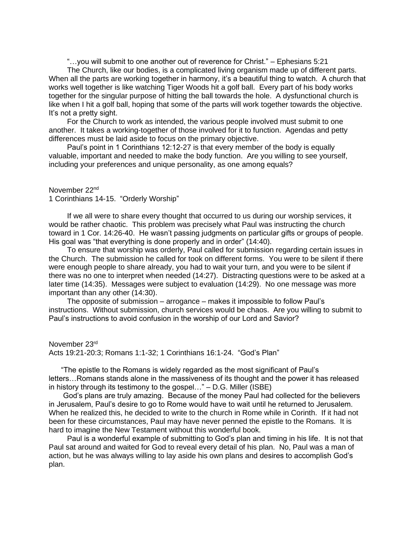"…you will submit to one another out of reverence for Christ." – Ephesians 5:21

The Church, like our bodies, is a complicated living organism made up of different parts. When all the parts are working together in harmony, it's a beautiful thing to watch. A church that works well together is like watching Tiger Woods hit a golf ball. Every part of his body works together for the singular purpose of hitting the ball towards the hole. A dysfunctional church is like when I hit a golf ball, hoping that some of the parts will work together towards the objective. It's not a pretty sight.

For the Church to work as intended, the various people involved must submit to one another. It takes a working-together of those involved for it to function. Agendas and petty differences must be laid aside to focus on the primary objective.

Paul's point in 1 Corinthians 12:12-27 is that every member of the body is equally valuable, important and needed to make the body function. Are you willing to see yourself, including your preferences and unique personality, as one among equals?

November 22nd

1 Corinthians 14-15. "Orderly Worship"

If we all were to share every thought that occurred to us during our worship services, it would be rather chaotic. This problem was precisely what Paul was instructing the church toward in 1 Cor. 14:26-40. He wasn't passing judgments on particular gifts or groups of people. His goal was "that everything is done properly and in order" (14:40).

To ensure that worship was orderly, Paul called for submission regarding certain issues in the Church. The submission he called for took on different forms. You were to be silent if there were enough people to share already, you had to wait your turn, and you were to be silent if there was no one to interpret when needed (14:27). Distracting questions were to be asked at a later time (14:35). Messages were subject to evaluation (14:29). No one message was more important than any other (14:30).

The opposite of submission – arrogance – makes it impossible to follow Paul's instructions. Without submission, church services would be chaos. Are you willing to submit to Paul's instructions to avoid confusion in the worship of our Lord and Savior?

November 23rd Acts 19:21-20:3; Romans 1:1-32; 1 Corinthians 16:1-24. "God's Plan"

"The epistle to the Romans is widely regarded as the most significant of Paul's letters…Romans stands alone in the massiveness of its thought and the power it has released in history through its testimony to the gospel…" – D.G. Miller (ISBE)

God's plans are truly amazing. Because of the money Paul had collected for the believers in Jerusalem, Paul's desire to go to Rome would have to wait until he returned to Jerusalem. When he realized this, he decided to write to the church in Rome while in Corinth. If it had not been for these circumstances, Paul may have never penned the epistle to the Romans. It is hard to imagine the New Testament without this wonderful book.

Paul is a wonderful example of submitting to God's plan and timing in his life. It is not that Paul sat around and waited for God to reveal every detail of his plan. No, Paul was a man of action, but he was always willing to lay aside his own plans and desires to accomplish God's plan.